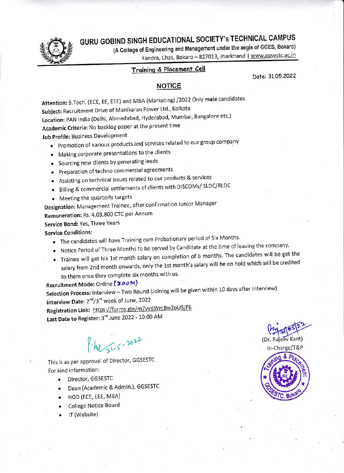GURU GOBIND SINGH EDUCATIONAL SOCIETY's TECHNICAL CAMPUS



(A College of Engineering and Management under the aegis of GGES, Bokaro) Kandra, Chas, Bokaro - 827013, Jharkhand | www.ggsestc.ac.in

## Training & Placement Cell

Date: 31.05.2022

## **NOTICE**

Attention: B.Tech. (ECE, EE, EEE) and MBA (Marketing) /2022 Only male candidates Subject: Recruitment Drive of Manikaran Power Ltd., Kolkata Location: PAN India (Delhi, Ahmedabad, Hyderabad, Mumbai, Bangalore etc.) Academic Criteria: No backlog paper at the present time Job Profile: Business Development

- Promotion of various products and services related to our group company
- Making corporate presentations to the clients
- Sourcing new clients by generating leads
- Preparation of techno commercial agreements
- Assisting on technical issues related to our products & services
- Billing & commercial settlements of clients with DISCOMs/ SLDC/RLDC
- Meeting the quarterly targets
- Designation: Management Trainee, after confirmation Junior Manager

Remuneration: Rs. 4,03,800 CTC per Annum

Service Bond: Yes, Three Years

## **Service Conditions:**

- The candidates will have Training cum Probationary period of Six Months.
- Notice Period of Three Months to be served by Candidate at the time of leaving the company.
- . Trainee will get his 1st month salary on completion of 6 months. The candidates will be get the salary from 2nd month onwards, only the 1st month's salary will be on hold which will be credited to them once they complete six months with us.

Recruitment Mode: Online (ZOOM) Selection Process: Interview - Two Round (Joining will be given within 10 days after interview) Interview Date: 2<sup>nd</sup>/3<sup>rd</sup> week of June, 2022 Registration Link: https://forms.gle/m7vvKWniBw2oUSJF6 Last Date to Register: 3rd June 2022 - 10:00 AM

P. M 51-5-2022

This is as per approval of Director, GGSESTC. For kind information:

- Director, GGSESTC
- Dean (Academic & Admin.), GGSESTC
- HOD (ECE, EEE, MBA)
- **College Notice Board**
- IT (Website)